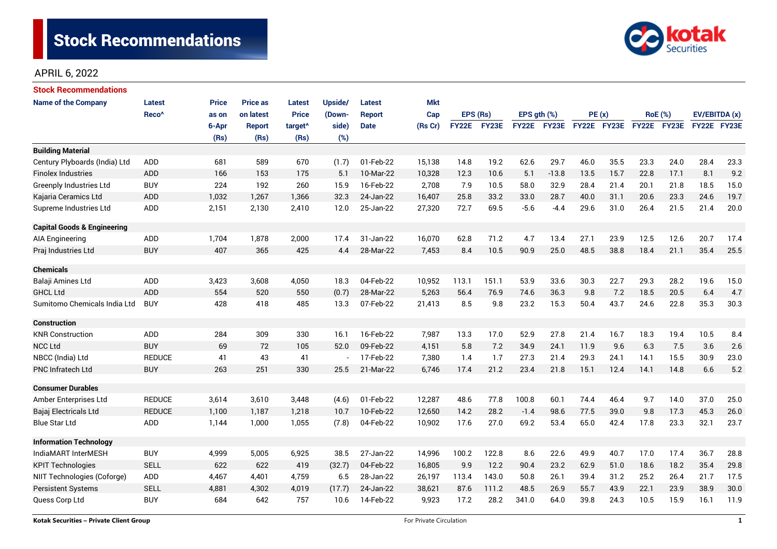

| <b>Stock Recommendations</b>           |                   |              |                 |                     |         |             |            |              |              |                  |             |             |      |                |             |               |      |
|----------------------------------------|-------------------|--------------|-----------------|---------------------|---------|-------------|------------|--------------|--------------|------------------|-------------|-------------|------|----------------|-------------|---------------|------|
| <b>Name of the Company</b>             | Latest            | <b>Price</b> | <b>Price as</b> | Latest              | Upside/ | Latest      | <b>Mkt</b> |              |              |                  |             |             |      |                |             |               |      |
|                                        | Reco <sup>^</sup> | as on        | on latest       | <b>Price</b>        | (Down-  | Report      | Cap        | EPS (Rs)     |              | EPS $qth$ $(\%)$ |             | PE(x)       |      | <b>RoE</b> (%) |             | EV/EBITDA (x) |      |
|                                        |                   | 6-Apr        | Report          | target <sup>^</sup> | side)   | <b>Date</b> | (Rs Cr)    | <b>FY22E</b> | <b>FY23E</b> |                  | FY22E FY23E | FY22E FY23E |      |                | FY22E FY23E | FY22E FY23E   |      |
|                                        |                   | (Rs)         | (Rs)            | (Rs)                | (%)     |             |            |              |              |                  |             |             |      |                |             |               |      |
| <b>Building Material</b>               |                   |              |                 |                     |         |             |            |              |              |                  |             |             |      |                |             |               |      |
| Century Plyboards (India) Ltd          | <b>ADD</b>        | 681          | 589             | 670                 | (1.7)   | 01-Feb-22   | 15,138     | 14.8         | 19.2         | 62.6             | 29.7        | 46.0        | 35.5 | 23.3           | 24.0        | 28.4          | 23.3 |
| <b>Finolex Industries</b>              | <b>ADD</b>        | 166          | 153             | 175                 | 5.1     | 10-Mar-22   | 10,328     | 12.3         | 10.6         | 5.1              | $-13.8$     | 13.5        | 15.7 | 22.8           | 17.1        | 8.1           | 9.2  |
| <b>Greenply Industries Ltd</b>         | <b>BUY</b>        | 224          | 192             | 260                 | 15.9    | 16-Feb-22   | 2,708      | 7.9          | 10.5         | 58.0             | 32.9        | 28.4        | 21.4 | 20.1           | 21.8        | 18.5          | 15.0 |
| Kajaria Ceramics Ltd                   | <b>ADD</b>        | 1,032        | 1,267           | 1,366               | 32.3    | 24-Jan-22   | 16,407     | 25.8         | 33.2         | 33.0             | 28.7        | 40.0        | 31.1 | 20.6           | 23.3        | 24.6          | 19.7 |
| Supreme Industries Ltd                 | ADD               | 2,151        | 2,130           | 2,410               | 12.0    | 25-Jan-22   | 27,320     | 72.7         | 69.5         | $-5.6$           | $-4.4$      | 29.6        | 31.0 | 26.4           | 21.5        | 21.4          | 20.0 |
| <b>Capital Goods &amp; Engineering</b> |                   |              |                 |                     |         |             |            |              |              |                  |             |             |      |                |             |               |      |
| <b>AIA Engineering</b>                 | ADD               | 1,704        | 1,878           | 2,000               | 17.4    | 31-Jan-22   | 16,070     | 62.8         | 71.2         | 4.7              | 13.4        | 27.1        | 23.9 | 12.5           | 12.6        | 20.7          | 17.4 |
| Praj Industries Ltd                    | <b>BUY</b>        | 407          | 365             | 425                 | 4.4     | 28-Mar-22   | 7,453      | 8.4          | 10.5         | 90.9             | 25.0        | 48.5        | 38.8 | 18.4           | 21.1        | 35.4          | 25.5 |
| <b>Chemicals</b>                       |                   |              |                 |                     |         |             |            |              |              |                  |             |             |      |                |             |               |      |
| Balaji Amines Ltd                      | ADD               | 3,423        | 3,608           | 4,050               | 18.3    | 04-Feb-22   | 10,952     | 113.1        | 151.1        | 53.9             | 33.6        | 30.3        | 22.7 | 29.3           | 28.2        | 19.6          | 15.0 |
| <b>GHCL Ltd</b>                        | <b>ADD</b>        | 554          | 520             | 550                 | (0.7)   | 28-Mar-22   | 5,263      | 56.4         | 76.9         | 74.6             | 36.3        | 9.8         | 7.2  | 18.5           | 20.5        | 6.4           | 4.7  |
| Sumitomo Chemicals India Ltd           | <b>BUY</b>        | 428          | 418             | 485                 | 13.3    | 07-Feb-22   | 21,413     | 8.5          | 9.8          | 23.2             | 15.3        | 50.4        | 43.7 | 24.6           | 22.8        | 35.3          | 30.3 |
| <b>Construction</b>                    |                   |              |                 |                     |         |             |            |              |              |                  |             |             |      |                |             |               |      |
| <b>KNR Construction</b>                | <b>ADD</b>        | 284          | 309             | 330                 | 16.1    | 16-Feb-22   | 7,987      | 13.3         | 17.0         | 52.9             | 27.8        | 21.4        | 16.7 | 18.3           | 19.4        | 10.5          | 8.4  |
| <b>NCC Ltd</b>                         | <b>BUY</b>        | 69           | 72              | 105                 | 52.0    | 09-Feb-22   | 4,151      | 5.8          | 7.2          | 34.9             | 24.1        | 11.9        | 9.6  | 6.3            | 7.5         | 3.6           | 2.6  |
| NBCC (India) Ltd                       | <b>REDUCE</b>     | 41           | 43              | 41                  |         | 17-Feb-22   | 7,380      | 1.4          | 1.7          | 27.3             | 21.4        | 29.3        | 24.1 | 14.1           | 15.5        | 30.9          | 23.0 |
| <b>PNC Infratech Ltd</b>               | <b>BUY</b>        | 263          | 251             | 330                 | 25.5    | 21-Mar-22   | 6,746      | 17.4         | 21.2         | 23.4             | 21.8        | 15.1        | 12.4 | 14.1           | 14.8        | 6.6           | 5.2  |
| <b>Consumer Durables</b>               |                   |              |                 |                     |         |             |            |              |              |                  |             |             |      |                |             |               |      |
| Amber Enterprises Ltd                  | <b>REDUCE</b>     | 3,614        | 3,610           | 3,448               | (4.6)   | 01-Feb-22   | 12,287     | 48.6         | 77.8         | 100.8            | 60.1        | 74.4        | 46.4 | 9.7            | 14.0        | 37.0          | 25.0 |
| Bajaj Electricals Ltd                  | <b>REDUCE</b>     | 1,100        | 1,187           | 1,218               | 10.7    | 10-Feb-22   | 12,650     | 14.2         | 28.2         | $-1.4$           | 98.6        | 77.5        | 39.0 | 9.8            | 17.3        | 45.3          | 26.0 |
| <b>Blue Star Ltd</b>                   | ADD               | 1,144        | 1,000           | 1,055               | (7.8)   | 04-Feb-22   | 10,902     | 17.6         | 27.0         | 69.2             | 53.4        | 65.0        | 42.4 | 17.8           | 23.3        | 32.1          | 23.7 |
| <b>Information Technology</b>          |                   |              |                 |                     |         |             |            |              |              |                  |             |             |      |                |             |               |      |
| IndiaMART InterMESH                    | <b>BUY</b>        | 4,999        | 5,005           | 6,925               | 38.5    | 27-Jan-22   | 14,996     | 100.2        | 122.8        | 8.6              | 22.6        | 49.9        | 40.7 | 17.0           | 17.4        | 36.7          | 28.8 |
| <b>KPIT Technologies</b>               | <b>SELL</b>       | 622          | 622             | 419                 | (32.7)  | 04-Feb-22   | 16.805     | 9.9          | 12.2         | 90.4             | 23.2        | 62.9        | 51.0 | 18.6           | 18.2        | 35.4          | 29.8 |
| NIIT Technologies (Coforge)            | ADD               | 4,467        | 4,401           | 4,759               | 6.5     | 28-Jan-22   | 26,197     | 113.4        | 143.0        | 50.8             | 26.1        | 39.4        | 31.2 | 25.2           | 26.4        | 21.7          | 17.5 |
| <b>Persistent Systems</b>              | <b>SELL</b>       | 4,881        | 4,302           | 4,019               | (17.7)  | 24-Jan-22   | 38,621     | 87.6         | 111.2        | 48.5             | 26.9        | 55.7        | 43.9 | 22.1           | 23.9        | 38.9          | 30.0 |
| Quess Corp Ltd                         | <b>BUY</b>        | 684          | 642             | 757                 | 10.6    | 14-Feb-22   | 9,923      | 17.2         | 28.2         | 341.0            | 64.0        | 39.8        | 24.3 | 10.5           | 15.9        | 16.1          | 11.9 |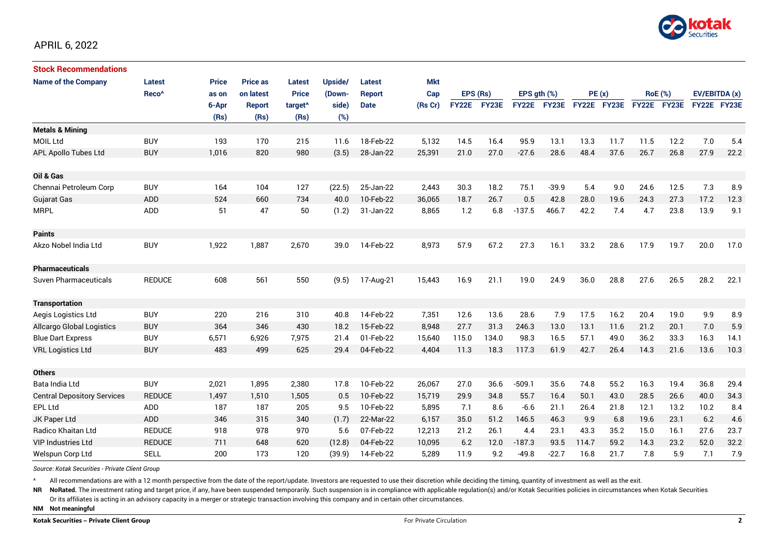

| <b>Stock Recommendations</b>       |                   |              |                 |                     |         |               |            |              |       |                  |              |             |      |                |             |               |      |
|------------------------------------|-------------------|--------------|-----------------|---------------------|---------|---------------|------------|--------------|-------|------------------|--------------|-------------|------|----------------|-------------|---------------|------|
| <b>Name of the Company</b>         | Latest            | <b>Price</b> | <b>Price as</b> | Latest              | Upside/ | <b>Latest</b> | <b>Mkt</b> |              |       |                  |              |             |      |                |             |               |      |
|                                    | Reco <sup>^</sup> | as on        | on latest       | <b>Price</b>        | (Down-  | <b>Report</b> | Cap        | EPS (Rs)     |       | EPS $qth$ $(\%)$ |              | PE(x)       |      | <b>RoE</b> (%) |             | EV/EBITDA (x) |      |
|                                    |                   | 6-Apr        | Report          | target <sup>^</sup> | side)   | <b>Date</b>   | (Rs Cr)    | <b>FY22E</b> | FY23E | <b>FY22E</b>     | <b>FY23E</b> | FY22E FY23E |      |                | FY22E FY23E | FY22E FY23E   |      |
|                                    |                   | (Rs)         | (Rs)            | (Rs)                | (%)     |               |            |              |       |                  |              |             |      |                |             |               |      |
| <b>Metals &amp; Mining</b>         |                   |              |                 |                     |         |               |            |              |       |                  |              |             |      |                |             |               |      |
| <b>MOIL Ltd</b>                    | <b>BUY</b>        | 193          | 170             | 215                 | 11.6    | 18-Feb-22     | 5,132      | 14.5         | 16.4  | 95.9             | 13.1         | 13.3        | 11.7 | 11.5           | 12.2        | 7.0           | 5.4  |
| APL Apollo Tubes Ltd               | <b>BUY</b>        | 1,016        | 820             | 980                 | (3.5)   | 28-Jan-22     | 25,391     | 21.0         | 27.0  | $-27.6$          | 28.6         | 48.4        | 37.6 | 26.7           | 26.8        | 27.9          | 22.2 |
|                                    |                   |              |                 |                     |         |               |            |              |       |                  |              |             |      |                |             |               |      |
| Oil & Gas                          |                   |              |                 |                     |         |               |            |              |       |                  |              |             |      |                |             |               |      |
| Chennai Petroleum Corp             | <b>BUY</b>        | 164          | 104             | 127                 | (22.5)  | 25-Jan-22     | 2,443      | 30.3         | 18.2  | 75.1             | $-39.9$      | 5.4         | 9.0  | 24.6           | 12.5        | 7.3           | 8.9  |
| Gujarat Gas                        | <b>ADD</b>        | 524          | 660             | 734                 | 40.0    | 10-Feb-22     | 36,065     | 18.7         | 26.7  | 0.5              | 42.8         | 28.0        | 19.6 | 24.3           | 27.3        | 17.2          | 12.3 |
| <b>MRPL</b>                        | <b>ADD</b>        | 51           | 47              | 50                  | (1.2)   | 31-Jan-22     | 8,865      | 1.2          | 6.8   | $-137.5$         | 466.7        | 42.2        | 7.4  | 4.7            | 23.8        | 13.9          | 9.1  |
|                                    |                   |              |                 |                     |         |               |            |              |       |                  |              |             |      |                |             |               |      |
| <b>Paints</b>                      |                   |              |                 |                     |         |               |            |              |       |                  |              |             |      |                |             |               |      |
| Akzo Nobel India Ltd               | <b>BUY</b>        | 1,922        | 1,887           | 2,670               | 39.0    | 14-Feb-22     | 8,973      | 57.9         | 67.2  | 27.3             | 16.1         | 33.2        | 28.6 | 17.9           | 19.7        | 20.0          | 17.0 |
|                                    |                   |              |                 |                     |         |               |            |              |       |                  |              |             |      |                |             |               |      |
| <b>Pharmaceuticals</b>             |                   |              |                 |                     |         |               |            |              |       |                  |              |             |      |                |             |               |      |
| Suven Pharmaceuticals              | <b>REDUCE</b>     | 608          | 561             | 550                 | (9.5)   | 17-Aug-21     | 15,443     | 16.9         | 21.1  | 19.0             | 24.9         | 36.0        | 28.8 | 27.6           | 26.5        | 28.2          | 22.1 |
|                                    |                   |              |                 |                     |         |               |            |              |       |                  |              |             |      |                |             |               |      |
| <b>Transportation</b>              |                   |              |                 |                     |         |               |            |              |       |                  |              |             |      |                |             |               |      |
| Aegis Logistics Ltd                | <b>BUY</b>        | 220          | 216             | 310                 | 40.8    | 14-Feb-22     | 7,351      | 12.6         | 13.6  | 28.6             | 7.9          | 17.5        | 16.2 | 20.4           | 19.0        | 9.9           | 8.9  |
| <b>Allcargo Global Logistics</b>   | <b>BUY</b>        | 364          | 346             | 430                 | 18.2    | 15-Feb-22     | 8,948      | 27.7         | 31.3  | 246.3            | 13.0         | 13.1        | 11.6 | 21.2           | 20.1        | 7.0           | 5.9  |
| <b>Blue Dart Express</b>           | <b>BUY</b>        | 6,571        | 6,926           | 7,975               | 21.4    | 01-Feb-22     | 15,640     | 115.0        | 134.0 | 98.3             | 16.5         | 57.1        | 49.0 | 36.2           | 33.3        | 16.3          | 14.1 |
| <b>VRL Logistics Ltd</b>           | <b>BUY</b>        | 483          | 499             | 625                 | 29.4    | 04-Feb-22     | 4,404      | 11.3         | 18.3  | 117.3            | 61.9         | 42.7        | 26.4 | 14.3           | 21.6        | 13.6          | 10.3 |
|                                    |                   |              |                 |                     |         |               |            |              |       |                  |              |             |      |                |             |               |      |
| <b>Others</b>                      |                   |              |                 |                     |         |               |            |              |       |                  |              |             |      |                |             |               |      |
| Bata India Ltd                     | <b>BUY</b>        | 2,021        | 1,895           | 2,380               | 17.8    | 10-Feb-22     | 26,067     | 27.0         | 36.6  | $-509.1$         | 35.6         | 74.8        | 55.2 | 16.3           | 19.4        | 36.8          | 29.4 |
| <b>Central Depository Services</b> | <b>REDUCE</b>     | 1,497        | 1.510           | 1,505               | 0.5     | 10-Feb-22     | 15,719     | 29.9         | 34.8  | 55.7             | 16.4         | 50.1        | 43.0 | 28.5           | 26.6        | 40.0          | 34.3 |
| <b>EPL Ltd</b>                     | ADD               | 187          | 187             | 205                 | 9.5     | 10-Feb-22     | 5,895      | 7.1          | 8.6   | $-6.6$           | 21.1         | 26.4        | 21.8 | 12.1           | 13.2        | 10.2          | 8.4  |
| JK Paper Ltd                       | ADD               | 346          | 315             | 340                 | (1.7)   | 22-Mar-22     | 6,157      | 35.0         | 51.2  | 146.5            | 46.3         | 9.9         | 6.8  | 19.6           | 23.1        | 6.2           | 4.6  |
| <b>Radico Khaitan Ltd</b>          | <b>REDUCE</b>     | 918          | 978             | 970                 | 5.6     | 07-Feb-22     | 12,213     | 21.2         | 26.1  | 4.4              | 23.1         | 43.3        | 35.2 | 15.0           | 16.1        | 27.6          | 23.7 |
| <b>VIP Industries Ltd</b>          | <b>REDUCE</b>     | 711          | 648             | 620                 | (12.8)  | 04-Feb-22     | 10,095     | 6.2          | 12.0  | $-187.3$         | 93.5         | 114.7       | 59.2 | 14.3           | 23.2        | 52.0          | 32.2 |
| Welspun Corp Ltd                   | <b>SELL</b>       | 200          | 173             | 120                 | (39.9)  | 14-Feb-22     | 5,289      | 11.9         | 9.2   | -49.8            | $-22.7$      | 16.8        | 21.7 | 7.8            | 5.9         | 7.1           | 7.9  |

*Source: Kotak Securities - Private Client Group*

All recommendations are with a 12 month perspective from the date of the report/update. Investors are requested to use their discretion while deciding the timing, quantity of investment as well as the exit.

NR NoRated. The investment rating and target price, if any, have been suspended temporarily. Such suspension is in compliance with applicable regulation(s) and/or Kotak Securities policies in circumstances when Kotak Secur Or its affiliates is acting in an advisory capacity in a merger or strategic transaction involving this company and in certain other circumstances.

**NM Not meaningful**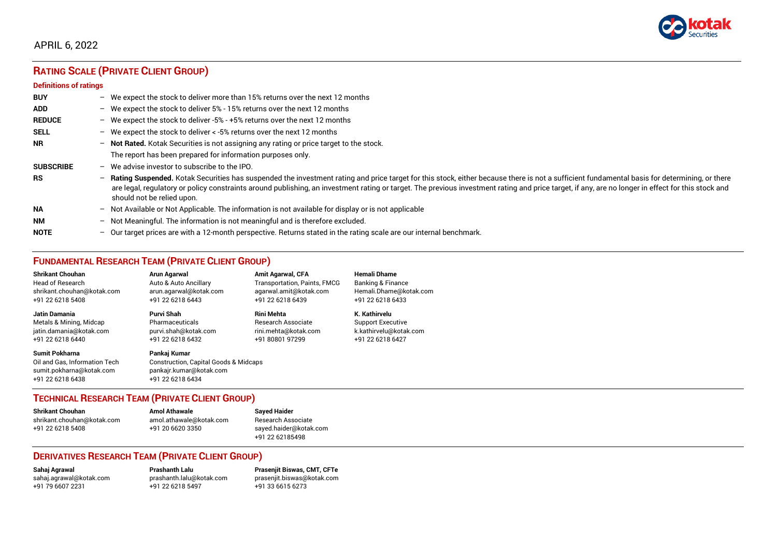

# **RATING SCALE (PRIVATE CLIENT GROUP)**

### **Definitions of ratings**

| <b>BUY</b>       |                          | - We expect the stock to deliver more than 15% returns over the next 12 months                                                                                                                                                                                                                                                                                                                                                   |
|------------------|--------------------------|----------------------------------------------------------------------------------------------------------------------------------------------------------------------------------------------------------------------------------------------------------------------------------------------------------------------------------------------------------------------------------------------------------------------------------|
| <b>ADD</b>       |                          | - We expect the stock to deliver 5% - 15% returns over the next 12 months                                                                                                                                                                                                                                                                                                                                                        |
| <b>REDUCE</b>    |                          | - We expect the stock to deliver -5% - +5% returns over the next 12 months                                                                                                                                                                                                                                                                                                                                                       |
| <b>SELL</b>      |                          | - We expect the stock to deliver $\lt$ -5% returns over the next 12 months                                                                                                                                                                                                                                                                                                                                                       |
| <b>NR</b>        | $\overline{\phantom{0}}$ | <b>Not Rated.</b> Kotak Securities is not assigning any rating or price target to the stock.                                                                                                                                                                                                                                                                                                                                     |
|                  |                          | The report has been prepared for information purposes only.                                                                                                                                                                                                                                                                                                                                                                      |
| <b>SUBSCRIBE</b> | $-$                      | We advise investor to subscribe to the IPO.                                                                                                                                                                                                                                                                                                                                                                                      |
| <b>RS</b>        | -                        | Rating Suspended. Kotak Securities has suspended the investment rating and price target for this stock, either because there is not a sufficient fundamental basis for determining, or there<br>are legal, regulatory or policy constraints around publishing, an investment rating or target. The previous investment rating and price target, if any, are no longer in effect for this stock and<br>should not be relied upon. |
| <b>NA</b>        |                          | $-$ Not Available or Not Applicable. The information is not available for display or is not applicable                                                                                                                                                                                                                                                                                                                           |
| <b>NM</b>        | $\overline{\phantom{0}}$ | Not Meaningful. The information is not meaningful and is therefore excluded.                                                                                                                                                                                                                                                                                                                                                     |
| <b>NOTE</b>      | $\overline{\phantom{0}}$ | Our target prices are with a 12-month perspective. Returns stated in the rating scale are our internal benchmark.                                                                                                                                                                                                                                                                                                                |

# **FUNDAMENTAL RESEARCH TEAM (PRIVATE CLIENT GROUP)**

| <b>Shrikant Chouhan</b>                                                                                | <b>Arun Agarwal</b>                                                                                             | <b>Amit Agarwal, CFA</b>     | <b>Hemali Dhame</b>          |
|--------------------------------------------------------------------------------------------------------|-----------------------------------------------------------------------------------------------------------------|------------------------------|------------------------------|
| Head of Research                                                                                       | Auto & Auto Ancillary                                                                                           | Transportation, Paints, FMCG | <b>Banking &amp; Finance</b> |
| shrikant.chouhan@kotak.com                                                                             | arun.agarwal@kotak.com                                                                                          | agarwal.amit@kotak.com       | Hemali.Dhame@kotak.com       |
| +91 22 6218 5408                                                                                       | +91 22 6218 6443                                                                                                | +91 22 6218 6439             | +91 22 6218 6433             |
| Jatin Damania                                                                                          | <b>Purvi Shah</b>                                                                                               | <b>Rini Mehta</b>            | K. Kathirvelu                |
| Metals & Mining, Midcap                                                                                | Pharmaceuticals                                                                                                 | Research Associate           | <b>Support Executive</b>     |
| jatin.damania@kotak.com                                                                                | purvi.shah@kotak.com                                                                                            | rini.mehta@kotak.com         | k.kathirvelu@kotak.com       |
| +91 22 6218 6440                                                                                       | +91 22 6218 6432                                                                                                | +91 80801 97299              | +91 22 6218 6427             |
| <b>Sumit Pokharna</b><br>Oil and Gas. Information Tech<br>sumit.pokharna@kotak.com<br>+91 22 6218 6438 | Pankai Kumar<br><b>Construction, Capital Goods &amp; Midcaps</b><br>pankajr.kumar@kotak.com<br>+91 22 6218 6434 |                              |                              |

## **TECHNICAL RESEARCH TEAM (PRIVATE CLIENT GROUP)**

| <b>Shrikant Chouhan</b>    | <b>Amol Athawale</b>    | Sa         |
|----------------------------|-------------------------|------------|
| shrikant.chouhan@kotak.com | amol.athawale@kotak.com | Re         |
| +91 22 6218 5408           | +91 20 6620 3350        | sa         |
|                            |                         | $\sqrt{2}$ |

#### **Shrikant Chouhan Amol Athawale Sayed Haider** esearch Associate yed.haider@kotak.com +91 22 62185498

## **DERIVATIVES RESEARCH TEAM (PRIVATE CLIENT GROUP)**

[sahaj.agrawal@kotak.com](mailto:sahaj.agrawal@kotak.com) [prashanth.lalu@kotak.com](mailto:prashanth.lalu@kotak.com) [prasenjit.biswas@kotak.com](mailto:prasenjit.biswas@kotak.com) +91 22 6218 5497

**Sahaj Agrawal Prashanth Lalu Prasenjit Biswas, CMT, CFTe**